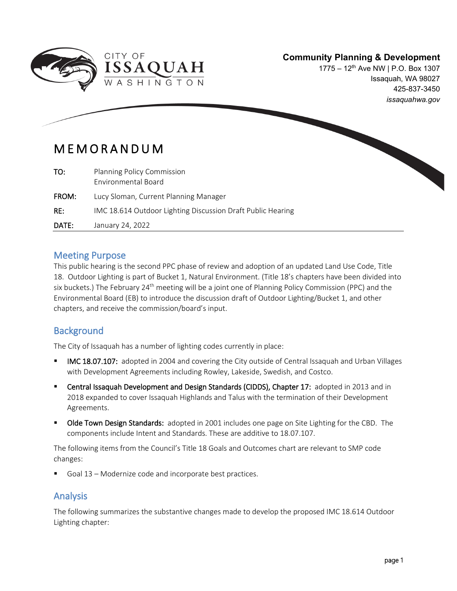

### **Community Planning & Development**

1775 – 12th Ave NW | P.O. Box 1307 Issaquah, WA 98027 425-837-3450 *issaquahwa.gov*

# MEMORANDUM

 $\overline{\phantom{a}}$ 

| TO:   | Planning Policy Commission<br>Environmental Board           |
|-------|-------------------------------------------------------------|
| FROM: | Lucy Sloman, Current Planning Manager                       |
| RE:   | IMC 18.614 Outdoor Lighting Discussion Draft Public Hearing |
| DATE: | January 24, 2022                                            |

#### Meeting Purpose

This public hearing is the second PPC phase of review and adoption of an updated Land Use Code, Title 18. Outdoor Lighting is part of Bucket 1, Natural Environment. (Title 18's chapters have been divided into six buckets.) The February 24<sup>th</sup> meeting will be a joint one of Planning Policy Commission (PPC) and the Environmental Board (EB) to introduce the discussion draft of Outdoor Lighting/Bucket 1, and other chapters, and receive the commission/board's input.

# **Background**

The City of Issaquah has a number of lighting codes currently in place:

- IMC 18.07.107: adopted in 2004 and covering the City outside of Central Issaquah and Urban Villages with Development Agreements including Rowley, Lakeside, Swedish, and Costco.
- Central Issaquah Development and Design Standards (CIDDS), Chapter 17: adopted in 2013 and in 2018 expanded to cover Issaquah Highlands and Talus with the termination of their Development Agreements.
- Olde Town Design Standards: adopted in 2001 includes one page on Site Lighting for the CBD. The components include Intent and Standards. These are additive to 18.07.107.

The following items from the Council's Title 18 Goals and Outcomes chart are relevant to SMP code changes:

Goal 13 – Modernize code and incorporate best practices.

# Analysis

The following summarizes the substantive changes made to develop the proposed IMC 18.614 Outdoor Lighting chapter: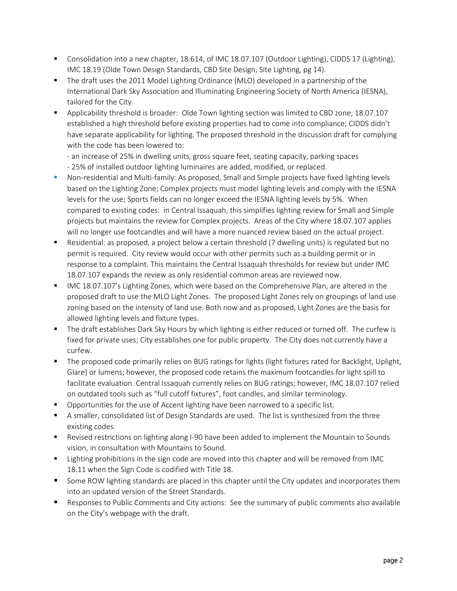- Consolidation into a new chapter, 18.614, of IMC 18.07.107 (Outdoor Lighting), CIDDS 17 (Lighting), IMC 18.19 (Olde Town Design Standards, CBD Site Design, Site Lighting, pg 14).
- The draft uses the 2011 Model Lighting Ordinance (MLO) developed in a partnership of the International Dark Sky Association and Illuminating Engineering Society of North America (IESNA), tailored for the City.
- Applicability threshold is broader: Olde Town lighting section was limited to CBD zone; 18.07.107 established a high threshold before existing properties had to come into compliance; CIDDS didn't have separate applicability for lighting. The proposed threshold in the discussion draft for complying with the code has been lowered to:

- an increase of 25% in dwelling units, gross square feet, seating capacity, parking spaces

- 25% of installed outdoor lighting luminaires are added, modified, or replaced.
- **Non-residential and Multi-family: As proposed, Small and Simple projects have fixed lighting levels** based on the Lighting Zone; Complex projects must model lighting levels and comply with the IESNA levels for the use; Sports fields can no longer exceed the IESNA lighting levels by 5%. When compared to existing codes: in Central Issaquah, this simplifies lighting review for Small and Simple projects but maintains the review for Complex projects. Areas of the City where 18.07.107 applies will no longer use footcandles and will have a more nuanced review based on the actual project.
- Residential: as proposed, a project below a certain threshold (7 dwelling units) is regulated but no permit is required. City review would occur with other permits such as a building permit or in response to a complaint. This maintains the Central Issaquah thresholds for review but under IMC 18.07.107 expands the review as only residential common areas are reviewed now.
- IMC 18.07.107's Lighting Zones, which were based on the Comprehensive Plan, are altered in the proposed draft to use the MLO Light Zones. The proposed Light Zones rely on groupings of land use zoning based on the intensity of land use. Both now and as proposed, Light Zones are the basis for allowed lighting levels and fixture types.
- The draft establishes Dark Sky Hours by which lighting is either reduced or turned off. The curfew is fixed for private uses; City establishes one for public property. The City does not currently have a curfew.
- The proposed code primarily relies on BUG ratings for lights (light fixtures rated for Backlight, Uplight, Glare) or lumens; however, the proposed code retains the maximum footcandles for light spill to facilitate evaluation. Central Issaquah currently relies on BUG ratings; however, IMC 18.07.107 relied on outdated tools such as "full cutoff fixtures", foot candles, and similar terminology.
- **•** Opportunities for the use of Accent lighting have been narrowed to a specific list.
- A smaller, consolidated list of Design Standards are used. The list is synthesized from the three existing codes.
- **EXECT** Revised restrictions on lighting along I-90 have been added to implement the Mountain to Sounds vision, in consultation with Mountains to Sound.
- **Example 1** Lighting prohibitions in the sign code are moved into this chapter and will be removed from IMC 18.11 when the Sign Code is codified with Title 18.
- Some ROW lighting standards are placed in this chapter until the City updates and incorporates them into an updated version of the Street Standards.
- **Responses to Public Comments and City actions: See the summary of public comments also available** on the City's webpage with the draft.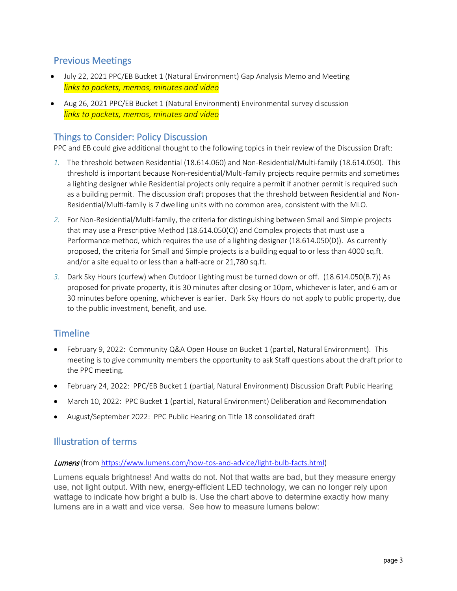#### Previous Meetings

- July 22, 2021 PPC/EB Bucket 1 (Natural Environment) Gap Analysis Memo and Meeting *links to packets, memos, minutes and video*
- Aug 26, 2021 PPC/EB Bucket 1 (Natural Environment) Environmental survey discussion *links to packets, memos, minutes and video*

### Things to Consider: Policy Discussion

PPC and EB could give additional thought to the following topics in their review of the Discussion Draft:

- *1.* The threshold between Residential (18.614.060) and Non-Residential/Multi-family (18.614.050). This threshold is important because Non-residential/Multi-family projects require permits and sometimes a lighting designer while Residential projects only require a permit if another permit is required such as a building permit. The discussion draft proposes that the threshold between Residential and Non-Residential/Multi-family is 7 dwelling units with no common area, consistent with the MLO.
- *2.* For Non-Residential/Multi-family, the criteria for distinguishing between Small and Simple projects that may use a Prescriptive Method (18.614.050(C)) and Complex projects that must use a Performance method, which requires the use of a lighting designer (18.614.050(D)). As currently proposed, the criteria for Small and Simple projects is a building equal to or less than 4000 sq.ft. and/or a site equal to or less than a half-acre or 21,780 sq.ft.
- *3.* Dark Sky Hours (curfew) when Outdoor Lighting must be turned down or off. (18.614.050(B.7)) As proposed for private property, it is 30 minutes after closing or 10pm, whichever is later, and 6 am or 30 minutes before opening, whichever is earlier. Dark Sky Hours do not apply to public property, due to the public investment, benefit, and use.

# **Timeline**

- February 9, 2022: Community Q&A Open House on Bucket 1 (partial, Natural Environment). This meeting is to give community members the opportunity to ask Staff questions about the draft prior to the PPC meeting.
- February 24, 2022: PPC/EB Bucket 1 (partial, Natural Environment) Discussion Draft Public Hearing
- March 10, 2022: PPC Bucket 1 (partial, Natural Environment) Deliberation and Recommendation
- August/September 2022: PPC Public Hearing on Title 18 consolidated draft

#### Illustration of terms

#### Lumens (fro[m https://www.lumens.com/how-tos-and-advice/light-bulb-facts.html\)](https://www.lumens.com/how-tos-and-advice/light-bulb-facts.html)

Lumens equals brightness! And watts do not. Not that watts are bad, but they measure energy use, not light output. With new, energy-efficient LED technology, we can no longer rely upon wattage to indicate how bright a bulb is. Use the chart above to determine exactly how many lumens are in a watt and vice versa. See how to measure lumens below: